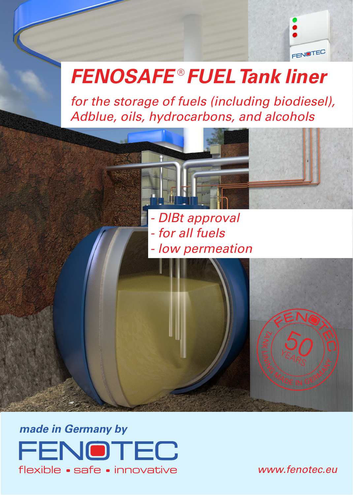

# *FENOSAFE* ® *FUEL Tank liner*

*for the storage of fuels (including biodiesel), Adblue, oils, hydrocarbons, and alcohols*



*made in Germany by* FENOTEC flexible • safe • innovative

*www.fenotec.eu*